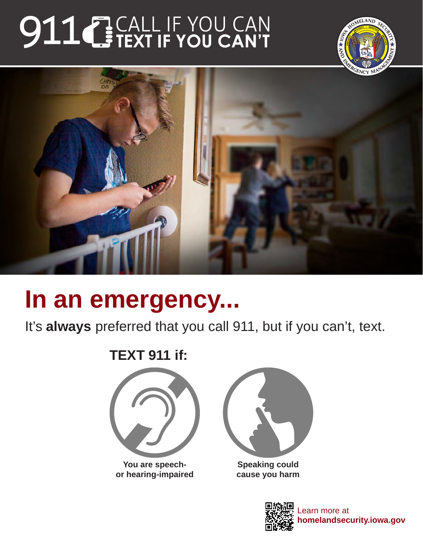# 911 BEALL IF YOU CAN





# **In an emergency...**

It's **always** preferred that you call 911, but if you can't, text.

### **TEXT 911 if:**



**You are speechor hearing-impaired**



**Speaking could cause you harm**